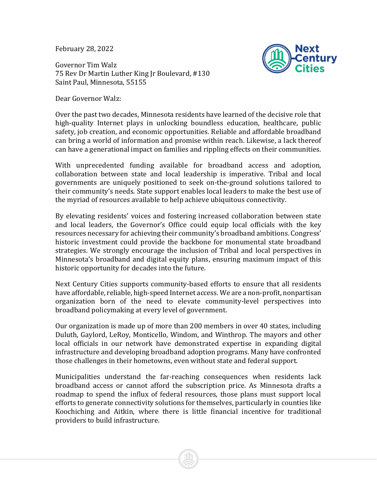February 28, 2022

Governor Tim Walz 75 Rev Dr Martin Luther King Jr Boulevard, #130 Saint Paul, Minnesota, 55155

Dear Governor Walz:



Over the past two decades, Minnesota residents have learned of the decisive role that high-quality Internet plays in unlocking boundless education, healthcare, public safety, job creation, and economic opportunities. Reliable and affordable broadband can bring a world of information and promise within reach. Likewise, a lack thereof can have a generational impact on families and rippling effects on their communities.

With unprecedented funding available for broadband access and adoption, collaboration between state and local leadership is imperative. Tribal and local governments are uniquely positioned to seek on-the-ground solutions tailored to their community's needs. State support enables local leaders to make the best use of the myriad of resources available to help achieve ubiquitous connectivity.

By elevating residents' voices and fostering increased collaboration between state and local leaders, the Governor's Office could equip local officials with the key resources necessary for achieving their community's broadband ambitions. Congress' historic investment could provide the backbone for monumental state broadband strategies. We strongly encourage the inclusion of Tribal and local perspectives in Minnesota's broadband and digital equity plans, ensuring maximum impact of this historic opportunity for decades into the future.

Next Century Cities supports community-based efforts to ensure that all residents have affordable, reliable, high-speed Internet access. We are a non-profit, nonpartisan organization born of the need to elevate community-level perspectives into broadband policymaking at every level of government.

Our organization is made up of more than 200 members in over 40 states, including Duluth, Gaylord, LeRoy, Monticello, Windom, and Winthrop. The mayors and other local officials in our network have demonstrated expertise in expanding digital infrastructure and developing broadband adoption programs. Many have confronted those challenges in their hometowns, even without state and federal support.

Municipalities understand the far-reaching consequences when residents lack broadband access or cannot afford the subscription price. As Minnesota drafts a roadmap to spend the influx of federal resources, those plans must support local efforts to generate connectivity solutions for themselves, particularly in counties like Koochiching and Aitkin, where there is little financial incentive for traditional providers to build infrastructure.